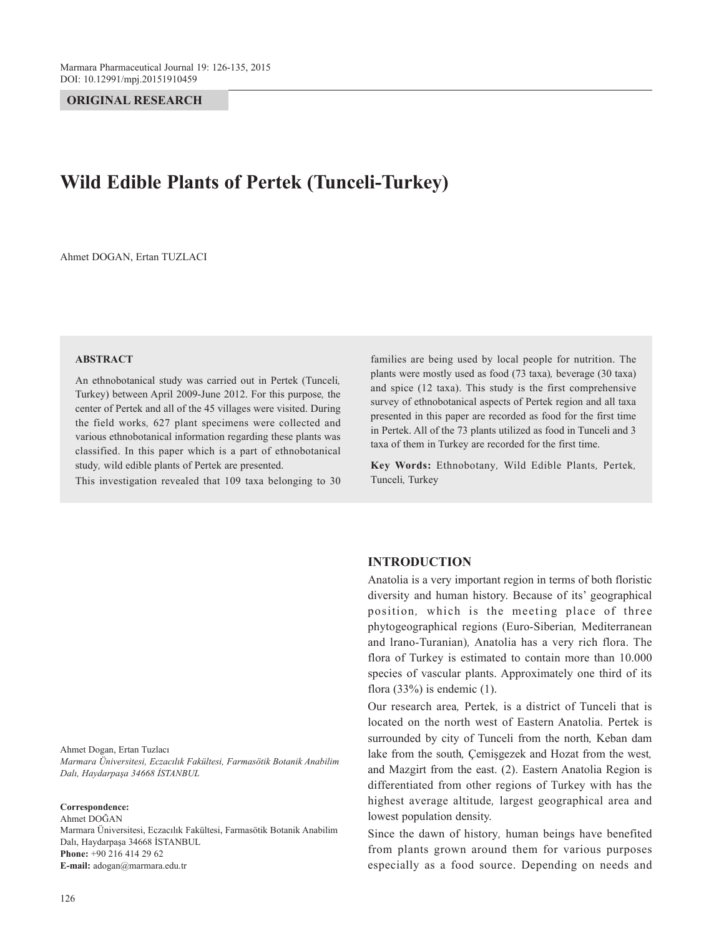**ORIGINAL RESEARCH**

# **Wild Edible Plants of Pertek (Tunceli-Turkey)**

Ahmet DOGAN, Ertan TUZLACI

#### **ABSTRACT**

An ethnobotanical study was carried out in Pertek (Tunceli*,* Turkey) between April 2009-June 2012. For this purpose*,* the center of Pertek and all of the 45 villages were visited. During the field works*,* 627 plant specimens were collected and various ethnobotanical information regarding these plants was classified. In this paper which is a part of ethnobotanical study*,* wild edible plants of Pertek are presented.

This investigation revealed that 109 taxa belonging to 30

families are being used by local people for nutrition. The plants were mostly used as food (73 taxa)*,* beverage (30 taxa) and spice (12 taxa). This study is the first comprehensive survey of ethnobotanical aspects of Pertek region and all taxa presented in this paper are recorded as food for the first time in Pertek. All of the 73 plants utilized as food in Tunceli and 3 taxa of them in Turkey are recorded for the first time.

**Key Words:** Ethnobotany*,* Wild Edible Plants*,* Pertek*,* Tunceli*,* Turkey

Ahmet Dogan, Ertan Tuzlacı *Marmara Üniversitesi, Eczacılık Fakültesi, Farmasötik Botanik Anabilim Dalı, Haydarpaşa 34668 İSTANBUL*

#### **Correspondence:**

Ahmet DOĞAN Marmara Üniversitesi, Eczacılık Fakültesi, Farmasötik Botanik Anabilim Dalı, Haydarpaşa 34668 İSTANBUL **Phone:** +90 216 414 29 62 **E-mail:** adogan@marmara.edu.tr

## **INTRODUCTION**

Anatolia is a very important region in terms of both floristic diversity and human history. Because of its' geographical position*,* which is the meeting place of three phytogeographical regions (Euro-Siberian*,* Mediterranean and lrano-Turanian)*,* Anatolia has a very rich flora. The flora of Turkey is estimated to contain more than 10.000 species of vascular plants. Approximately one third of its flora  $(33\%)$  is endemic  $(1)$ .

Our research area*,* Pertek*,* is a district of Tunceli that is located on the north west of Eastern Anatolia. Pertek is surrounded by city of Tunceli from the north*,* Keban dam lake from the south*,* Çemişgezek and Hozat from the west*,* and Mazgirt from the east. (2). Eastern Anatolia Region is differentiated from other regions of Turkey with has the highest average altitude*,* largest geographical area and lowest population density.

Since the dawn of history*,* human beings have benefited from plants grown around them for various purposes especially as a food source. Depending on needs and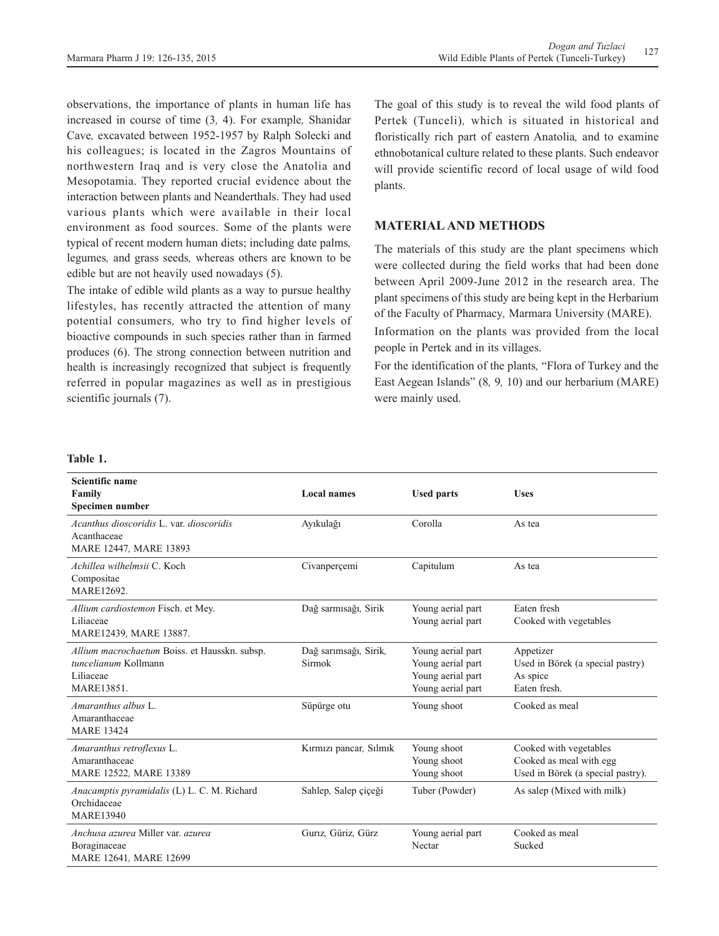observations, the importance of plants in human life has increased in course of time (3*,* 4). For example*,* Shanidar Cave*,* excavated between 1952-1957 by Ralph Solecki and his colleagues; is located in the Zagros Mountains of northwestern Iraq and is very close the Anatolia and Mesopotamia. They reported crucial evidence about the interaction between plants and Neanderthals. They had used various plants which were available in their local environment as food sources. Some of the plants were typical of recent modern human diets; including date palms*,* legumes*,* and grass seeds*,* whereas others are known to be edible but are not heavily used nowadays (5).

The intake of edible wild plants as a way to pursue healthy lifestyles, has recently attracted the attention of many potential consumers*,* who try to find higher levels of bioactive compounds in such species rather than in farmed produces (6). The strong connection between nutrition and health is increasingly recognized that subject is frequently referred in popular magazines as well as in prestigious scientific journals (7).

The goal of this study is to reveal the wild food plants of Pertek (Tunceli)*,* which is situated in historical and floristically rich part of eastern Anatolia*,* and to examine ethnobotanical culture related to these plants. Such endeavor will provide scientific record of local usage of wild food plants.

## **MATERIAL AND METHODS**

The materials of this study are the plant specimens which were collected during the field works that had been done between April 2009-June 2012 in the research area. The plant specimens of this study are being kept in the Herbarium of the Faculty of Pharmacy*,* Marmara University (MARE).

Information on the plants was provided from the local people in Pertek and in its villages.

For the identification of the plants*,* "Flora of Turkey and the East Aegean Islands" (8*,* 9*,* 10) and our herbarium (MARE) were mainly used.

#### **Table 1.**

| Scientific name<br>Family<br>Specimen number                                                           | <b>Local names</b>                     | <b>Used parts</b>                                                                | <b>Uses</b>                                                                            |
|--------------------------------------------------------------------------------------------------------|----------------------------------------|----------------------------------------------------------------------------------|----------------------------------------------------------------------------------------|
| Acanthus dioscoridis L. var. dioscoridis<br>Acanthaceae<br>MARE 12447, MARE 13893                      | Ayıkulağı                              | Corolla                                                                          | As tea                                                                                 |
| Achillea wilhelmsii C. Koch<br>Compositae<br>MARE12692.                                                | Civanperçemi                           | Capitulum                                                                        | As tea                                                                                 |
| Allium cardiostemon Fisch. et Mey.<br>Liliaceae<br>MARE12439, MARE 13887.                              | Dağ sarmısağı, Sirik                   | Young aerial part<br>Young aerial part                                           | Eaten fresh<br>Cooked with vegetables                                                  |
| Allium macrochaetum Boiss. et Hausskn. subsp.<br>tuncelianum Kollmann<br>Liliaceae<br><b>MARE13851</b> | Dağ sarımsağı, Sirik,<br><b>Sirmok</b> | Young aerial part<br>Young aerial part<br>Young aerial part<br>Young aerial part | Appetizer<br>Used in Börek (a special pastry)<br>As spice<br>Eaten fresh.              |
| Amaranthus albus L.<br>Amaranthaceae<br><b>MARE 13424</b>                                              | Süpürge otu                            | Young shoot                                                                      | Cooked as meal                                                                         |
| Amaranthus retroflexus L.<br>Amaranthaceae<br>MARE 12522, MARE 13389                                   | Kırmızı pancar, Sılmık                 | Young shoot<br>Young shoot<br>Young shoot                                        | Cooked with vegetables<br>Cooked as meal with egg<br>Used in Börek (a special pastry). |
| Anacamptis pyramidalis (L) L. C. M. Richard<br>Orchidaceae<br><b>MARE13940</b>                         | Sahlep, Salep çiçeği                   | Tuber (Powder)                                                                   | As salep (Mixed with milk)                                                             |
| Anchusa azurea Miller var. azurea<br>Boraginaceae<br>MARE 12641. MARE 12699                            | Guriz, Güriz, Gürz                     | Young aerial part<br>Nectar                                                      | Cooked as meal<br>Sucked                                                               |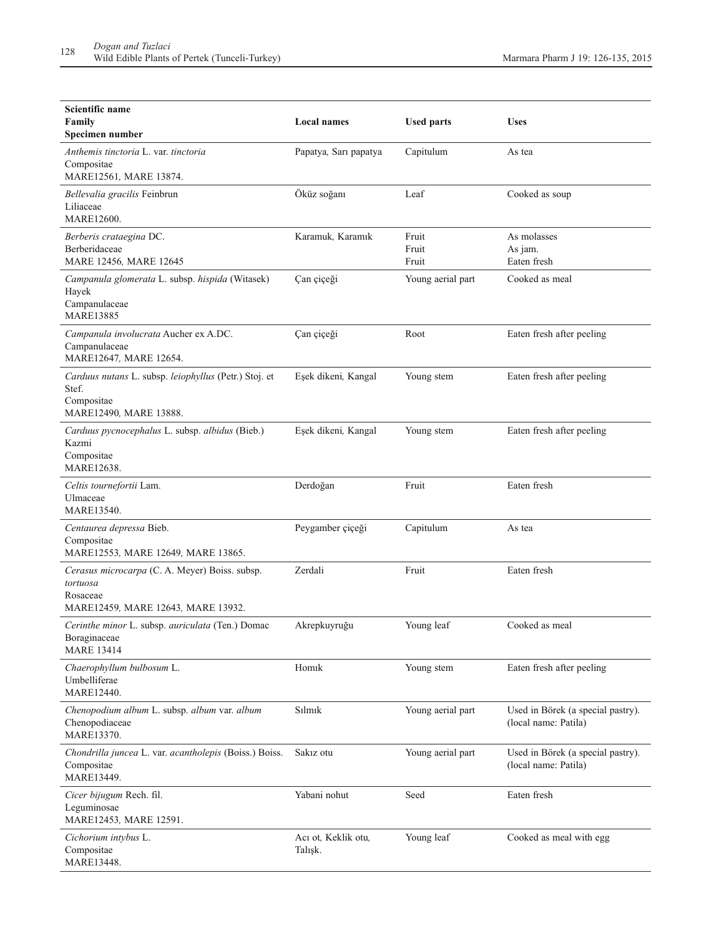| Scientific name<br>Family<br>Specimen number                                                                 | <b>Local names</b>             | <b>Used parts</b>       | <b>Uses</b>                                               |
|--------------------------------------------------------------------------------------------------------------|--------------------------------|-------------------------|-----------------------------------------------------------|
| Anthemis tinctoria L. var. tinctoria<br>Compositae<br>MARE12561, MARE 13874.                                 | Papatya, Sarı papatya          | Capitulum               | As tea                                                    |
| Bellevalia gracilis Feinbrun<br>Liliaceae<br>MARE12600.                                                      | Öküz soğanı                    | Leaf                    | Cooked as soup                                            |
| Berberis crataegina DC.<br>Berberidaceae<br>MARE 12456, MARE 12645                                           | Karamuk, Karamık               | Fruit<br>Fruit<br>Fruit | As molasses<br>As jam.<br>Eaten fresh                     |
| Campanula glomerata L. subsp. hispida (Witasek)<br>Hayek<br>Campanulaceae<br><b>MARE13885</b>                | Çan çiçeği                     | Young aerial part       | Cooked as meal                                            |
| Campanula involucrata Aucher ex A.DC.<br>Campanulaceae<br>MARE12647, MARE 12654.                             | Çan çiçeği                     | Root                    | Eaten fresh after peeling                                 |
| Carduus nutans L. subsp. leiophyllus (Petr.) Stoj. et<br>Stef.<br>Compositae<br>MARE12490, MARE 13888.       | Eşek dikeni, Kangal            | Young stem              | Eaten fresh after peeling                                 |
| Carduus pycnocephalus L. subsp. albidus (Bieb.)<br>Kazmi<br>Compositae<br>MARE12638.                         | Eşek dikeni, Kangal            | Young stem              | Eaten fresh after peeling                                 |
| Celtis tournefortii Lam.<br>Ulmaceae<br>MARE13540.                                                           | Derdoğan                       | Fruit                   | Eaten fresh                                               |
| Centaurea depressa Bieb.<br>Compositae<br>MARE12553, MARE 12649, MARE 13865.                                 | Peygamber çiçeği               | Capitulum               | As tea                                                    |
| Cerasus microcarpa (C. A. Meyer) Boiss. subsp.<br>tortuosa<br>Rosaceae<br>MARE12459, MARE 12643, MARE 13932. | Zerdali                        | Fruit                   | Eaten fresh                                               |
| Cerinthe minor L. subsp. auriculata (Ten.) Domac<br>Boraginaceae<br><b>MARE 13414</b>                        | Akrepkuyruğu                   | Young leaf              | Cooked as meal                                            |
| Chaerophyllum bulbosum L.<br>Umbelliferae<br>MARE12440.                                                      | Homik                          | Young stem              | Eaten fresh after peeling                                 |
| Chenopodium album L. subsp. album var. album<br>Chenopodiaceae<br>MARE13370.                                 | Silmik                         | Young aerial part       | Used in Börek (a special pastry).<br>(local name: Patila) |
| Chondrilla juncea L. var. acantholepis (Boiss.) Boiss.<br>Compositae<br>MARE13449.                           | Sakız otu                      | Young aerial part       | Used in Börek (a special pastry).<br>(local name: Patila) |
| Cicer bijugum Rech. fil.<br>Leguminosae<br>MARE12453, MARE 12591.                                            | Yabani nohut                   | Seed                    | Eaten fresh                                               |
| Cichorium intybus L.<br>Compositae<br>MARE13448.                                                             | Acı ot, Keklik otu,<br>Talışk. | Young leaf              | Cooked as meal with egg                                   |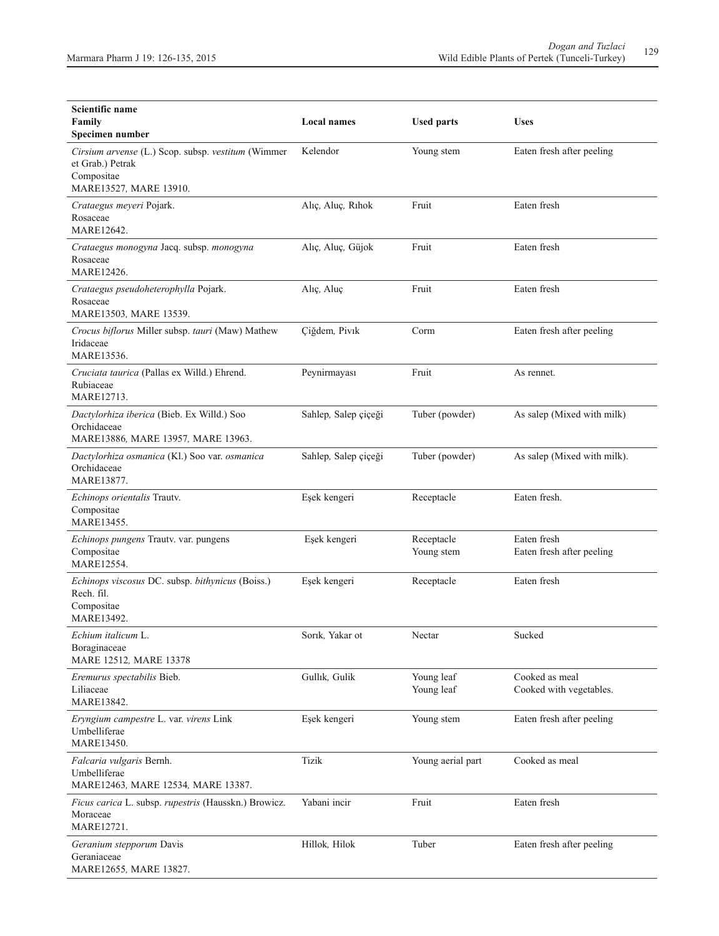| Scientific name<br>Family<br>Specimen number                                                                   | <b>Local names</b>   | <b>Used parts</b>        | Uses                                      |
|----------------------------------------------------------------------------------------------------------------|----------------------|--------------------------|-------------------------------------------|
| Cirsium arvense (L.) Scop. subsp. vestitum (Wimmer<br>et Grab.) Petrak<br>Compositae<br>MARE13527, MARE 13910. | Kelendor             | Young stem               | Eaten fresh after peeling                 |
| Crataegus meyeri Pojark.<br>Rosaceae<br>MARE12642.                                                             | Alıç, Aluç, Rıhok    | Fruit                    | Eaten fresh                               |
| Crataegus monogyna Jacq. subsp. monogyna<br>Rosaceae<br>MARE12426.                                             | Alıç, Aluç, Güjok    | Fruit                    | Eaten fresh                               |
| Crataegus pseudoheterophylla Pojark.<br>Rosaceae<br>MARE13503, MARE 13539.                                     | Alıç, Aluç           | Fruit                    | Eaten fresh                               |
| Crocus biflorus Miller subsp. tauri (Maw) Mathew<br>Iridaceae<br>MARE13536.                                    | Çiğdem, Pivık        | Corm                     | Eaten fresh after peeling                 |
| Cruciata taurica (Pallas ex Willd.) Ehrend.<br>Rubiaceae<br>MARE12713.                                         | Peynirmayası         | Fruit                    | As rennet.                                |
| Dactylorhiza iberica (Bieb. Ex Willd.) Soo<br>Orchidaceae<br>MARE13886, MARE 13957, MARE 13963.                | Sahlep, Salep çiçeği | Tuber (powder)           | As salep (Mixed with milk)                |
| Dactylorhiza osmanica (Kl.) Soo var. osmanica<br>Orchidaceae<br>MARE13877.                                     | Sahlep, Salep çiçeği | Tuber (powder)           | As salep (Mixed with milk).               |
| Echinops orientalis Trautv.<br>Compositae<br>MARE13455.                                                        | Eşek kengeri         | Receptacle               | Eaten fresh.                              |
| Echinops pungens Trautv. var. pungens<br>Compositae<br>MARE12554.                                              | Eşek kengeri         | Receptacle<br>Young stem | Eaten fresh<br>Eaten fresh after peeling  |
| Echinops viscosus DC. subsp. bithynicus (Boiss.)<br>Rech. fil.<br>Compositae<br>MARE13492.                     | Eşek kengeri         | Receptacle               | Eaten fresh                               |
| Echium italicum L.<br>Boraginaceae<br>MARE 12512, MARE 13378                                                   | Sorik, Yakar ot      | Nectar                   | Sucked                                    |
| Eremurus spectabilis Bieb.<br>Liliaceae<br>MARE13842.                                                          | Gullık, Gulik        | Young leaf<br>Young leaf | Cooked as meal<br>Cooked with vegetables. |
| Eryngium campestre L. var. virens Link<br>Umbelliferae<br>MARE13450.                                           | Eşek kengeri         | Young stem               | Eaten fresh after peeling                 |
| Falcaria vulgaris Bernh.<br>Umbelliferae<br>MARE12463, MARE 12534, MARE 13387.                                 | Tizik                | Young aerial part        | Cooked as meal                            |
| Ficus carica L. subsp. rupestris (Hausskn.) Browicz.<br>Moraceae<br>MARE12721.                                 | Yabani incir         | Fruit                    | Eaten fresh                               |
| Geranium stepporum Davis<br>Geraniaceae<br>MARE12655, MARE 13827.                                              | Hillok, Hilok        | Tuber                    | Eaten fresh after peeling                 |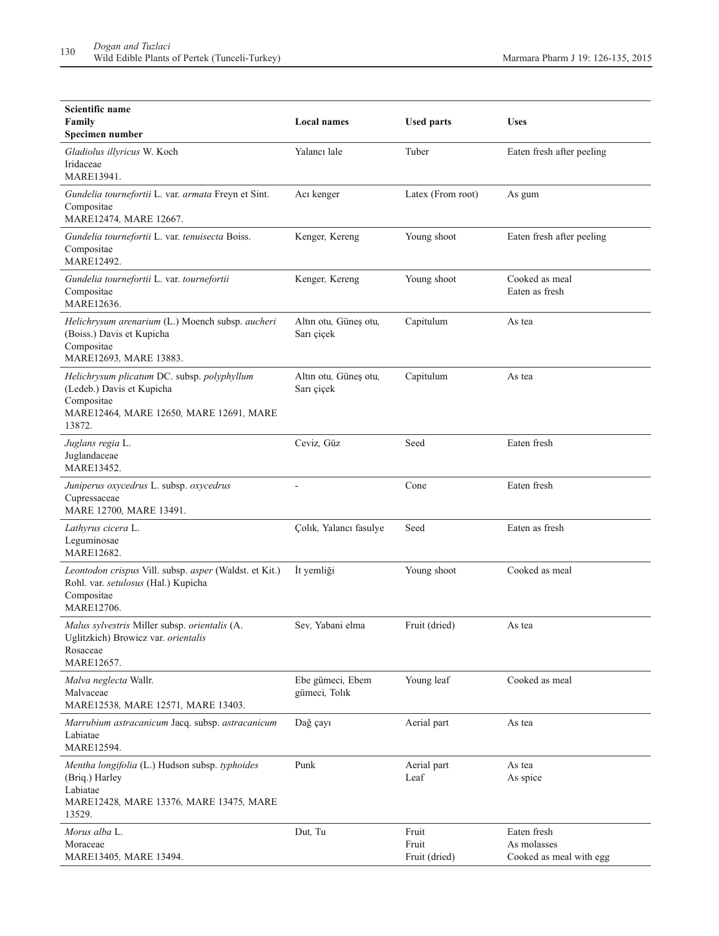| Scientific name<br>Family<br>Specimen number                                                                                                | <b>Local names</b>                  | <b>Used parts</b>               | <b>Uses</b>                                           |
|---------------------------------------------------------------------------------------------------------------------------------------------|-------------------------------------|---------------------------------|-------------------------------------------------------|
| Gladiolus illyricus W. Koch<br>Iridaceae<br><b>MARE13941</b>                                                                                | Yalancı lale                        | Tuber                           | Eaten fresh after peeling                             |
| Gundelia tournefortii L. var. armata Freyn et Sint.<br>Compositae<br>MARE12474, MARE 12667.                                                 | Acı kenger                          | Latex (From root)               | As gum                                                |
| Gundelia tournefortii L. var. tenuisecta Boiss.<br>Compositae<br>MARE12492.                                                                 | Kenger, Kereng                      | Young shoot                     | Eaten fresh after peeling                             |
| Gundelia tournefortii L. var. tournefortii<br>Compositae<br>MARE12636.                                                                      | Kenger, Kereng                      | Young shoot                     | Cooked as meal<br>Eaten as fresh                      |
| Helichrysum arenarium (L.) Moench subsp. aucheri<br>(Boiss.) Davis et Kupicha<br>Compositae<br>MARE12693, MARE 13883.                       | Altın otu, Güneş otu,<br>Sarı çiçek | Capitulum                       | As tea                                                |
| Helichrysum plicatum DC. subsp. polyphyllum<br>(Ledeb.) Davis et Kupicha<br>Compositae<br>MARE12464, MARE 12650, MARE 12691, MARE<br>13872. | Altın otu, Güneş otu,<br>Sarı çiçek | Capitulum                       | As tea                                                |
| Juglans regia L.<br>Juglandaceae<br>MARE13452.                                                                                              | Ceviz, Güz                          | Seed                            | Eaten fresh                                           |
| Juniperus oxycedrus L. subsp. oxycedrus<br>Cupressaceae<br>MARE 12700, MARE 13491.                                                          |                                     | Cone                            | Eaten fresh                                           |
| Lathyrus cicera L.<br>Leguminosae<br>MARE12682.                                                                                             | Çolık, Yalancı fasulye              | Seed                            | Eaten as fresh                                        |
| Leontodon crispus Vill. subsp. asper (Waldst. et Kit.)<br>Rohl. var. setulosus (Hal.) Kupicha<br>Compositae<br>MARE12706.                   | İt yemliği                          | Young shoot                     | Cooked as meal                                        |
| Malus sylvestris Miller subsp. orientalis (A.<br>Uglitzkich) Browicz var. orientalis<br>Rosaceae<br>MARE12657.                              | Sev, Yabani elma                    | Fruit (dried)                   | As tea                                                |
| Malva neglecta Wallr.<br>Malvaceae<br>MARE12538, MARE 12571, MARE 13403.                                                                    | Ebe gümeci, Ebem<br>gümeci, Tolık   | Young leaf                      | Cooked as meal                                        |
| Marrubium astracanicum Jacq. subsp. astracanicum<br>Labiatae<br>MARE12594.                                                                  | Dağ çayı                            | Aerial part                     | As tea                                                |
| Mentha longifolia (L.) Hudson subsp. typhoides<br>(Briq.) Harley<br>Labiatae<br>MARE12428, MARE 13376, MARE 13475, MARE<br>13529.           | Punk                                | Aerial part<br>Leaf             | As tea<br>As spice                                    |
| Morus alba L.<br>Moraceae<br>MARE13405, MARE 13494.                                                                                         | Dut, Tu                             | Fruit<br>Fruit<br>Fruit (dried) | Eaten fresh<br>As molasses<br>Cooked as meal with egg |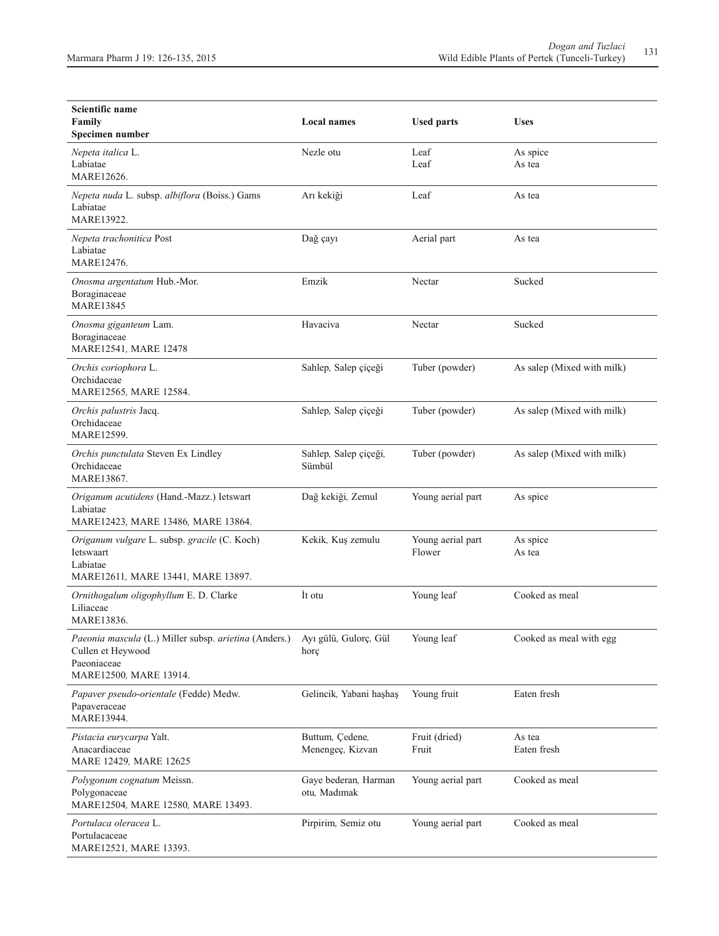| Scientific name<br>Family<br>Specimen number                                                                        | <b>Local names</b>                   | <b>Used parts</b>           | <b>Uses</b>                |
|---------------------------------------------------------------------------------------------------------------------|--------------------------------------|-----------------------------|----------------------------|
| Nepeta italica L.<br>Labiatae<br>MARE12626.                                                                         | Nezle otu                            | Leaf<br>Leaf                | As spice<br>As tea         |
| Nepeta nuda L. subsp. albiflora (Boiss.) Gams<br>Labiatae<br>MARE13922.                                             | Arı kekiği                           | Leaf                        | As tea                     |
| Nepeta trachonitica Post<br>Labiatae<br>MARE12476.                                                                  | Dağ çayı                             | Aerial part                 | As tea                     |
| Onosma argentatum Hub.-Mor.<br>Boraginaceae<br><b>MARE13845</b>                                                     | Emzik                                | Nectar                      | Sucked                     |
| Onosma giganteum Lam.<br>Boraginaceae<br>MARE12541, MARE 12478                                                      | Havaciva                             | Nectar                      | Sucked                     |
| Orchis coriophora L.<br>Orchidaceae<br>MARE12565, MARE 12584.                                                       | Sahlep, Salep çiçeği                 | Tuber (powder)              | As salep (Mixed with milk) |
| Orchis palustris Jacq.<br>Orchidaceae<br>MARE12599.                                                                 | Sahlep, Salep çiçeği                 | Tuber (powder)              | As salep (Mixed with milk) |
| Orchis punctulata Steven Ex Lindley<br>Orchidaceae<br>MARE13867.                                                    | Sahlep, Salep çiçeği,<br>Sümbül      | Tuber (powder)              | As salep (Mixed with milk) |
| Origanum acutidens (Hand.-Mazz.) Ietswart<br>Labiatae<br>MARE12423, MARE 13486, MARE 13864.                         | Dağ kekiği, Zemul                    | Young aerial part           | As spice                   |
| Origanum vulgare L. subsp. gracile (C. Koch)<br>Ietswaart<br>Labiatae<br>MARE12611, MARE 13441, MARE 13897.         | Kekik, Kuş zemulu                    | Young aerial part<br>Flower | As spice<br>As tea         |
| Ornithogalum oligophyllum E. D. Clarke<br>Liliaceae<br>MARE13836.                                                   | İt otu                               | Young leaf                  | Cooked as meal             |
| Paeonia mascula (L.) Miller subsp. arietina (Anders.)<br>Cullen et Heywood<br>Paeoniaceae<br>MARE12500, MARE 13914. | Ayı gülü, Gulorç, Gül<br>horc        | Young leaf                  | Cooked as meal with egg    |
| Papaver pseudo-orientale (Fedde) Medw.<br>Papaveraceae<br>MARE13944.                                                | Gelincik, Yabani haşhaş              | Young fruit                 | Eaten fresh                |
| Pistacia eurycarpa Yalt.<br>Anacardiaceae<br>MARE 12429, MARE 12625                                                 | Buttum, Çedene,<br>Menengeç, Kizvan  | Fruit (dried)<br>Fruit      | As tea<br>Eaten fresh      |
| Polygonum cognatum Meissn.<br>Polygonaceae<br>MARE12504, MARE 12580, MARE 13493.                                    | Gaye bederan, Harman<br>otu, Madımak | Young aerial part           | Cooked as meal             |
| Portulaca oleracea L.<br>Portulacaceae<br>MARE12521, MARE 13393.                                                    | Pirpirim, Semiz otu                  | Young aerial part           | Cooked as meal             |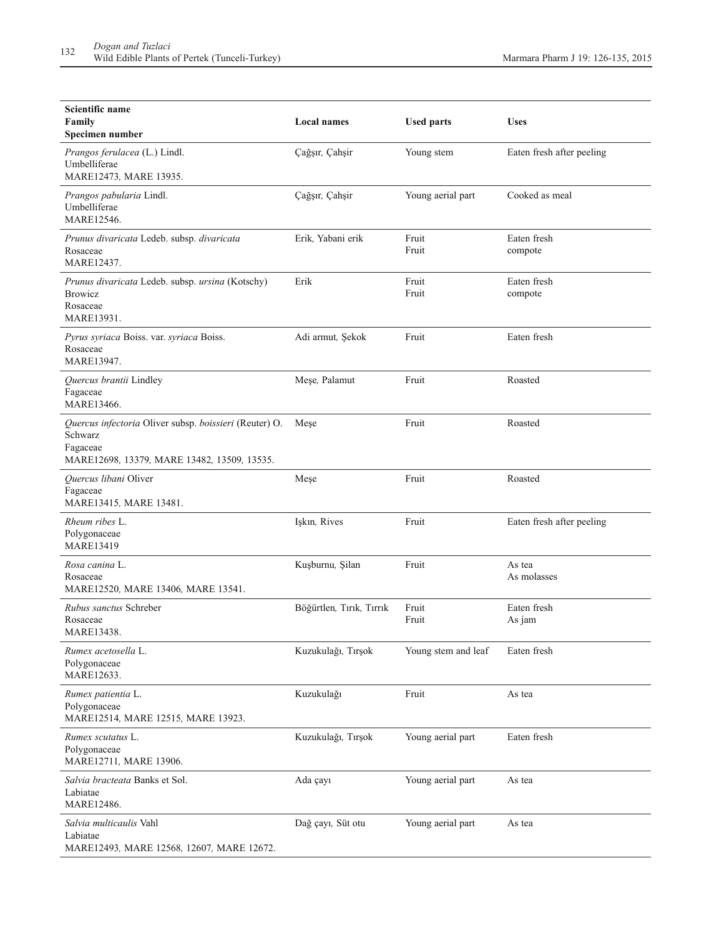| Scientific name<br>Family<br>Specimen number                                                                                 | <b>Local names</b>       | <b>Used parts</b>   | <b>Uses</b>               |
|------------------------------------------------------------------------------------------------------------------------------|--------------------------|---------------------|---------------------------|
| Prangos ferulacea (L.) Lindl.<br>Umbelliferae<br>MARE12473, MARE 13935.                                                      | Çağşır, Çahşir           | Young stem          | Eaten fresh after peeling |
| Prangos pabularia Lindl.<br>Umbelliferae<br>MARE12546.                                                                       | Çağşır, Çahşir           | Young aerial part   | Cooked as meal            |
| Prunus divaricata Ledeb. subsp. divaricata<br>Rosaceae<br>MARE12437.                                                         | Erik, Yabani erik        | Fruit<br>Fruit      | Eaten fresh<br>compote    |
| Prunus divaricata Ledeb. subsp. ursina (Kotschy)<br><b>Browicz</b><br>Rosaceae<br>MARE13931.                                 | Erik                     | Fruit<br>Fruit      | Eaten fresh<br>compote    |
| Pyrus syriaca Boiss. var. syriaca Boiss.<br>Rosaceae<br>MARE13947.                                                           | Adi armut, Şekok         | Fruit               | Eaten fresh               |
| Quercus brantii Lindley<br>Fagaceae<br>MARE13466.                                                                            | Meșe, Palamut            | Fruit               | Roasted                   |
| Quercus infectoria Oliver subsp. boissieri (Reuter) O.<br>Schwarz<br>Fagaceae<br>MARE12698, 13379, MARE 13482, 13509, 13535. | Mese                     | Fruit               | Roasted                   |
| Quercus libani Oliver<br>Fagaceae<br>MARE13415, MARE 13481.                                                                  | Meșe                     | Fruit               | Roasted                   |
| Rheum ribes L.<br>Polygonaceae<br><b>MARE13419</b>                                                                           | Işkın, Rives             | Fruit               | Eaten fresh after peeling |
| Rosa canina L.<br>Rosaceae<br>MARE12520, MARE 13406, MARE 13541.                                                             | Kuşburnu, Şilan          | Fruit               | As tea<br>As molasses     |
| Rubus sanctus Schreber<br>Rosaceae<br>MARE13438.                                                                             | Böğürtlen, Tırık, Tırrık | Fruit<br>Fruit      | Eaten fresh<br>As jam     |
| Rumex acetosella L.<br>Polygonaceae<br>MARE12633.                                                                            | Kuzukulağı, Tırşok       | Young stem and leaf | Eaten fresh               |
| Rumex patientia L.<br>Polygonaceae<br>MARE12514, MARE 12515, MARE 13923.                                                     | Kuzukulağı               | Fruit               | As tea                    |
| Rumex scutatus L.<br>Polygonaceae<br>MARE12711, MARE 13906.                                                                  | Kuzukulağı, Tırşok       | Young aerial part   | Eaten fresh               |
| Salvia bracteata Banks et Sol.<br>Labiatae<br>MARE12486.                                                                     | Ada çayı                 | Young aerial part   | As tea                    |
| Salvia multicaulis Vahl<br>Labiatae<br>MARE12493, MARE 12568, 12607, MARE 12672.                                             | Dağ çayı, Süt otu        | Young aerial part   | As tea                    |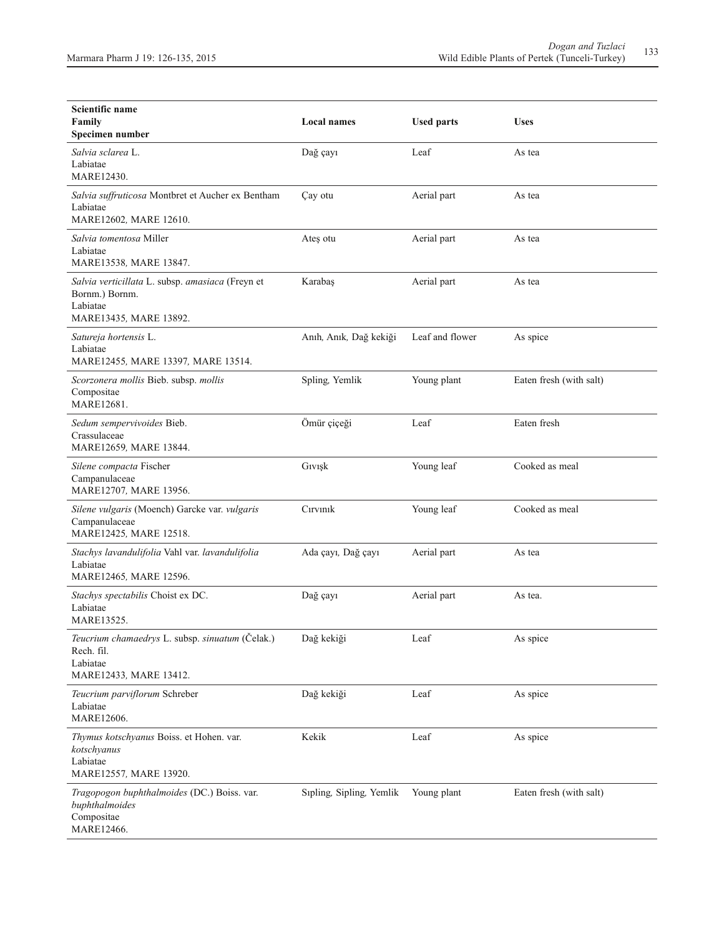| Scientific name<br>Family<br>Specimen number                                                             | <b>Local names</b>       | <b>Used parts</b> | <b>Uses</b>             |
|----------------------------------------------------------------------------------------------------------|--------------------------|-------------------|-------------------------|
| Salvia sclarea L.<br>Labiatae<br><b>MARE12430.</b>                                                       | Dağ çayı                 | Leaf              | As tea                  |
| Salvia suffruticosa Montbret et Aucher ex Bentham<br>Labiatae<br>MARE12602, MARE 12610.                  | Çay otu                  | Aerial part       | As tea                  |
| Salvia tomentosa Miller<br>Labiatae<br>MARE13538, MARE 13847.                                            | Ateş otu                 | Aerial part       | As tea                  |
| Salvia verticillata L. subsp. amasiaca (Freyn et<br>Bornm.) Bornm.<br>Labiatae<br>MARE13435, MARE 13892. | Karabaş                  | Aerial part       | As tea                  |
| Satureja hortensis L.<br>Labiatae<br>MARE12455, MARE 13397, MARE 13514.                                  | Anıh, Anık, Dağ kekiği   | Leaf and flower   | As spice                |
| Scorzonera mollis Bieb. subsp. mollis<br>Compositae<br>MARE12681.                                        | Spling, Yemlik           | Young plant       | Eaten fresh (with salt) |
| Sedum sempervivoides Bieb.<br>Crassulaceae<br>MARE12659, MARE 13844.                                     | Ömür çiçeği              | Leaf              | Eaten fresh             |
| Silene compacta Fischer<br>Campanulaceae<br>MARE12707, MARE 13956.                                       | Givişk                   | Young leaf        | Cooked as meal          |
| Silene vulgaris (Moench) Garcke var. vulgaris<br>Campanulaceae<br>MARE12425, MARE 12518.                 | Cırvınık                 | Young leaf        | Cooked as meal          |
| Stachys lavandulifolia Vahl var. lavandulifolia<br>Labiatae<br>MARE12465, MARE 12596.                    | Ada çayı, Dağ çayı       | Aerial part       | As tea                  |
| Stachys spectabilis Choist ex DC.<br>Labiatae<br>MARE13525.                                              | Dağ çayı                 | Aerial part       | As tea.                 |
| Teucrium chamaedrys L. subsp. sinuatum (Čelak.)<br>Rech. fil.<br>Labiatae<br>MARE12433, MARE 13412.      | Dağ kekiği               | Leaf              | As spice                |
| Teucrium parviflorum Schreber<br>Labiatae<br>MARE12606.                                                  | Dağ kekiği               | Leaf              | As spice                |
| Thymus kotschyanus Boiss. et Hohen. var.<br>kotschyanus<br>Labiatae<br>MARE12557, MARE 13920.            | Kekik                    | Leaf              | As spice                |
| Tragopogon buphthalmoides (DC.) Boiss. var.<br>buphthalmoides<br>Compositae<br>MARE12466.                | Sipling, Sipling, Yemlik | Young plant       | Eaten fresh (with salt) |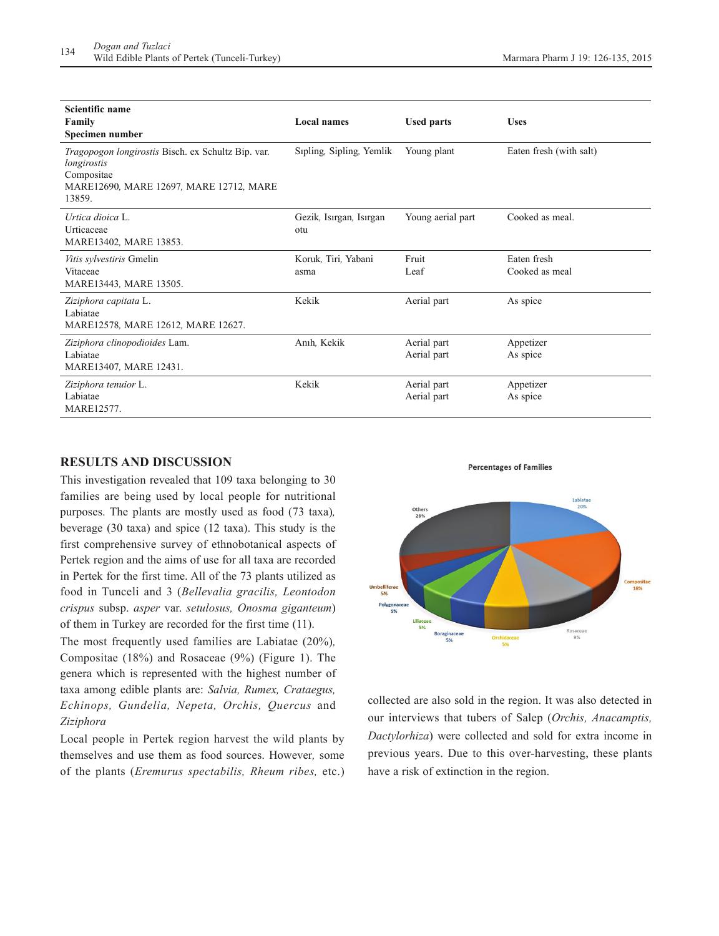| Scientific name<br>Family<br>Specimen number                                                                                         | <b>Local names</b>             | <b>Used parts</b>          | <b>Uses</b>                   |
|--------------------------------------------------------------------------------------------------------------------------------------|--------------------------------|----------------------------|-------------------------------|
| Tragopogon longirostis Bisch. ex Schultz Bip. var.<br>longirostis<br>Compositae<br>MARE12690, MARE 12697, MARE 12712, MARE<br>13859. | Sipling, Sipling, Yemlik       | Young plant                | Eaten fresh (with salt)       |
| Urtica dioica L.<br>Urticaceae<br>MARE13402, MARE 13853.                                                                             | Gezik, Isırgan, Isırgan<br>otu | Young aerial part          | Cooked as meal.               |
| Vitis sylvestiris Gmelin<br>Vitaceae<br>MARE13443, MARE 13505.                                                                       | Koruk, Tiri, Yabani<br>asma    | Fruit<br>Leaf              | Eaten fresh<br>Cooked as meal |
| Ziziphora capitata L.<br>Labiatae<br>MARE12578, MARE 12612, MARE 12627.                                                              | Kekik                          | Aerial part                | As spice                      |
| Ziziphora clinopodioides Lam.<br>Labiatae<br>MARE13407, MARE 12431.                                                                  | Anıh, Kekik                    | Aerial part<br>Aerial part | Appetizer<br>As spice         |
| Ziziphora tenuior L.<br>Labiatae<br>MARE12577.                                                                                       | Kekik                          | Aerial part<br>Aerial part | Appetizer<br>As spice         |

## **RESULTS AND DISCUSSION**

This investigation revealed that 109 taxa belonging to 30 families are being used by local people for nutritional purposes. The plants are mostly used as food (73 taxa)*,* beverage (30 taxa) and spice (12 taxa). This study is the first comprehensive survey of ethnobotanical aspects of Pertek region and the aims of use for all taxa are recorded in Pertek for the first time. All of the 73 plants utilized as food in Tunceli and 3 (*Bellevalia gracilis, Leontodon crispus* subsp. *asper* var. *setulosus, Onosma giganteum*) of them in Turkey are recorded for the first time (11).

The most frequently used families are Labiatae (20%)*,* Compositae (18%) and Rosaceae (9%) (Figure 1). The genera which is represented with the highest number of taxa among edible plants are: *Salvia, Rumex, Crataegus, Echinops, Gundelia, Nepeta, Orchis, Quercus* and *Ziziphora*

Local people in Pertek region harvest the wild plants by themselves and use them as food sources. However*,* some of the plants (*Eremurus spectabilis, Rheum ribes,* etc.)



**Percentages of Families** 

collected are also sold in the region. It was also detected in our interviews that tubers of Salep (*Orchis, Anacamptis, Dactylorhiza*) were collected and sold for extra income in previous years. Due to this over-harvesting, these plants have a risk of extinction in the region.